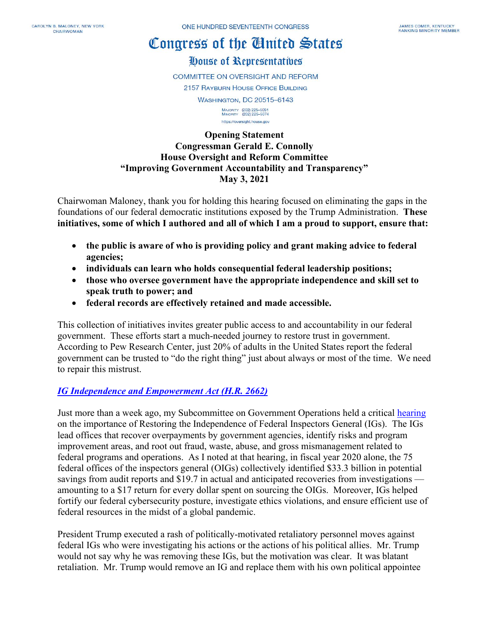# Congress of the Ginited States

House of Representatives

**COMMITTEE ON OVERSIGHT AND REFORM** 

2157 RAYBURN HOUSE OFFICE BUILDING

WASHINGTON, DC 20515-6143

MAJORITY (202) 225-5051<br>MINORITY (202) 225-5074 https://oversight.house.gov

**Opening Statement Congressman Gerald E. Connolly House Oversight and Reform Committee "Improving Government Accountability and Transparency" May 3, 2021**

Chairwoman Maloney, thank you for holding this hearing focused on eliminating the gaps in the foundations of our federal democratic institutions exposed by the Trump Administration. **These initiatives, some of which I authored and all of which I am a proud to support, ensure that:**

- **the public is aware of who is providing policy and grant making advice to federal agencies;**
- **individuals can learn who holds consequential federal leadership positions;**
- **those who oversee government have the appropriate independence and skill set to speak truth to power; and**
- **federal records are effectively retained and made accessible.**

This collection of initiatives invites greater public access to and accountability in our federal government. These efforts start a much-needed journey to restore trust in government. According to Pew Research Center, just 20% of adults in the United States report the federal government can be trusted to "do the right thing" just about always or most of the time. We need to repair this mistrust.

### *[IG Independence and Empowerment Act \(H.R. 2662\)](https://oversight.house.gov/sites/democrats.oversight.house.gov/files/MALONE_040_xml_4.19.21.pdf)*

Just more than a week ago, my Subcommittee on Government Operations held a critical [hearing](https://oversight.house.gov/legislation/hearings/restoring-independence-rebuilding-the-federal-offices-of-inspectors-general) on the importance of Restoring the Independence of Federal Inspectors General (IGs). The IGs lead offices that recover overpayments by government agencies, identify risks and program improvement areas, and root out fraud, waste, abuse, and gross mismanagement related to federal programs and operations. As I noted at that hearing, in fiscal year 2020 alone, the 75 federal offices of the inspectors general (OIGs) collectively identified \$33.3 billion in potential savings from audit reports and \$19.7 in actual and anticipated recoveries from investigations amounting to a \$17 return for every dollar spent on sourcing the OIGs. Moreover, IGs helped fortify our federal cybersecurity posture, investigate ethics violations, and ensure efficient use of federal resources in the midst of a global pandemic.

President Trump executed a rash of politically-motivated retaliatory personnel moves against federal IGs who were investigating his actions or the actions of his political allies. Mr. Trump would not say why he was removing these IGs, but the motivation was clear. It was blatant retaliation. Mr. Trump would remove an IG and replace them with his own political appointee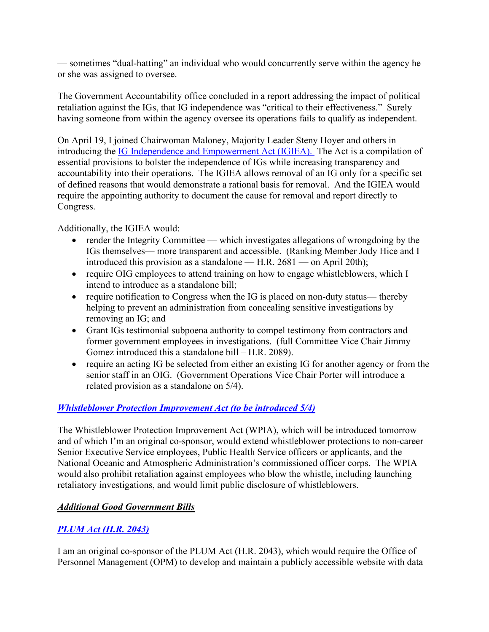— sometimes "dual-hatting" an individual who would concurrently serve within the agency he or she was assigned to oversee.

The Government Accountability office concluded in a report addressing the impact of political retaliation against the IGs, that IG independence was "critical to their effectiveness." Surely having someone from within the agency oversee its operations fails to qualify as independent.

On April 19, I joined Chairwoman Maloney, Majority Leader Steny Hoyer and others in introducing the [IG Independence and Empowerment Act \(IGIEA\).](https://oversight.house.gov/sites/democrats.oversight.house.gov/files/MALONE_040_xml_4.19.21.pdf) The Act is a compilation of essential provisions to bolster the independence of IGs while increasing transparency and accountability into their operations. The IGIEA allows removal of an IG only for a specific set of defined reasons that would demonstrate a rational basis for removal. And the IGIEA would require the appointing authority to document the cause for removal and report directly to Congress.

Additionally, the IGIEA would:

- render the Integrity Committee which investigates allegations of wrongdoing by the IGs themselves— more transparent and accessible. (Ranking Member Jody Hice and I introduced this provision as a standalone — H.R. 2681 — on April 20th);
- require OIG employees to attend training on how to engage whistleblowers, which I intend to introduce as a standalone bill;
- require notification to Congress when the IG is placed on non-duty status— thereby helping to prevent an administration from concealing sensitive investigations by removing an IG; and
- Grant IGs testimonial subpoena authority to compel testimony from contractors and former government employees in investigations. (full Committee Vice Chair Jimmy Gomez introduced this a standalone bill – H.R. 2089).
- require an acting IG be selected from either an existing IG for another agency or from the senior staff in an OIG. (Government Operations Vice Chair Porter will introduce a related provision as a standalone on 5/4).

### *[Whistleblower Protection Improvement Act \(to be introduced 5/4\)](https://oversight.house.gov/sites/democrats.oversight.house.gov/files/WPIA%20Text.pdf)*

The Whistleblower Protection Improvement Act (WPIA), which will be introduced tomorrow and of which I'm an original co-sponsor, would extend whistleblower protections to non-career Senior Executive Service employees, Public Health Service officers or applicants, and the National Oceanic and Atmospheric Administration's commissioned officer corps. The WPIA would also prohibit retaliation against employees who blow the whistle, including launching retaliatory investigations, and would limit public disclosure of whistleblowers.

### *Additional Good Government Bills*

### *[PLUM Act \(H.R. 2043\)](https://oversight.house.gov/sites/democrats.oversight.house.gov/files/PLUM%20Act.pdf)*

I am an original co-sponsor of the PLUM Act (H.R. 2043), which would require the Office of Personnel Management (OPM) to develop and maintain a publicly accessible website with data